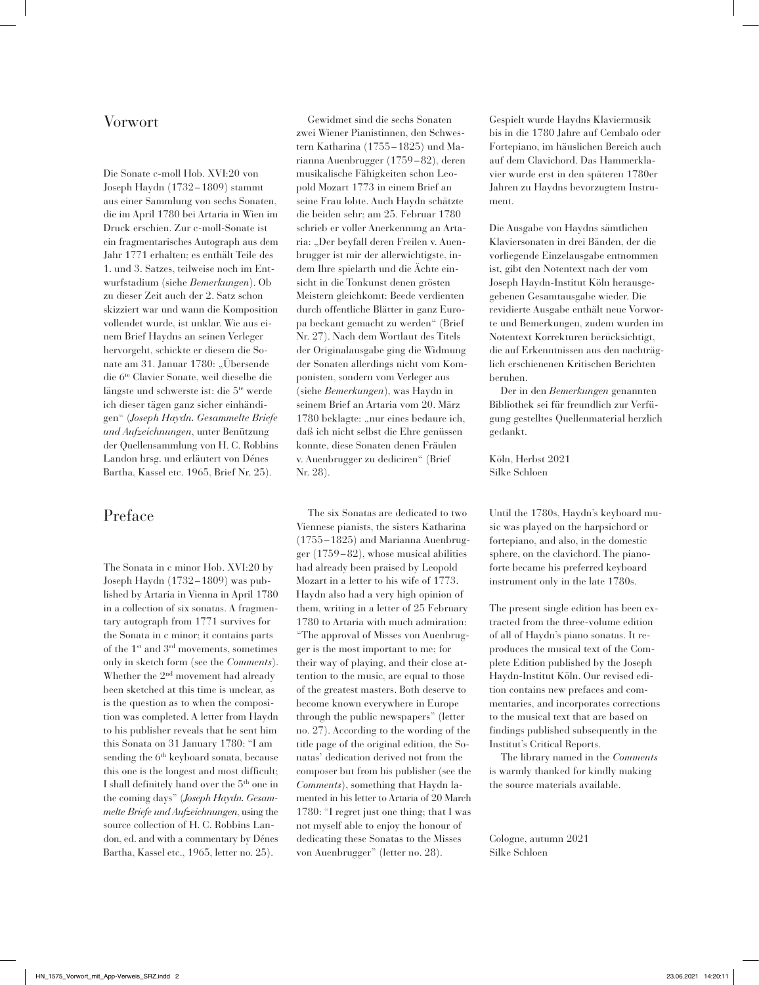## Vorwort

Die Sonate c-moll Hob. XVI:20 von Joseph Haydn (1732–1809) stammt aus einer Sammlung von sechs Sonaten, die im April 1780 bei Artaria in Wien im Druck erschien. Zur c-moll-Sonate ist ein fragmentarisches Autograph aus dem Jahr 1771 erhalten; es enthält Teile des 1. und 3. Satzes, teilweise noch im Entwurfstadium (siehe *Bemerkungen*). Ob zu dieser Zeit auch der 2. Satz schon skizziert war und wann die Komposition vollendet wurde, ist unklar. Wie aus einem Brief Haydns an seinen Verleger hervorgeht, schickte er diesem die Sonate am 31. Januar 1780: "Übersende die 6te Clavier Sonate, weil dieselbe die längste und schwerste ist: die 5<sup>te</sup> werde ich dieser tägen ganz sicher einhändigen" (*Joseph Haydn. Gesammelte Briefe und Aufzeichnungen*, unter Benützung der Quellensammlung von H. C. Robbins Landon hrsg. und erläutert von Dénes Bartha, Kassel etc. 1965, Brief Nr. 25).

## Preface

The Sonata in c minor Hob. XVI:20 by Joseph Haydn (1732–1809) was published by Artaria in Vienna in April 1780 in a collection of six sonatas. A fragmentary autograph from 1771 survives for the Sonata in c minor; it contains parts of the 1st and 3rd movements, sometimes only in sketch form (see the *Comments*). Whether the 2<sup>nd</sup> movement had already been sketched at this time is unclear, as is the question as to when the composition was completed. A letter from Haydn to his publisher reveals that he sent him this Sonata on 31 January 1780: "I am sending the  $6<sup>th</sup>$  keyboard sonata, because this one is the longest and most difficult; I shall definitely hand over the 5th one in the coming days" (*Joseph Haydn. Gesammelte Briefe und Aufzeichnungen*, using the source collection of H. C. Robbins Landon, ed. and with a commentary by Dénes Bartha, Kassel etc., 1965, letter no. 25).

Gewidmet sind die sechs Sonaten zwei Wiener Pianistinnen, den Schwestern Katharina (1755–1825) und Marianna Auenbrugger (1759–82), deren musikalische Fähigkeiten schon Leopold Mozart 1773 in einem Brief an seine Frau lobte. Auch Haydn schätzte die beiden sehr; am 25. Februar 1780 schrieb er voller Anerkennung an Artaria: "Der beyfall deren Freilen v. Auenbrugger ist mir der allerwichtigste, indem Ihre spielarth und die Ächte einsicht in die Tonkunst denen grösten Meistern gleichkomt: Beede verdienten durch offentliche Blätter in ganz Europa beckant gemacht zu werden" (Brief Nr. 27). Nach dem Wortlaut des Titels der Originalausgabe ging die Widmung der Sonaten allerdings nicht vom Komponisten, sondern vom Verleger aus (siehe *Bemerkungen*), was Haydn in seinem Brief an Artaria vom 20. März 1780 beklagte: "nur eines bedaure ich, daß ich nicht selbst die Ehre genüssen konnte, diese Sonaten denen Fräulen v. Auenbrugger zu dediciren" (Brief Nr. 28).

The six Sonatas are dedicated to two Viennese pianists, the sisters Katharina (1755–1825) and Marianna Auenbrugger (1759–82), whose musical abilities had already been praised by Leopold Mozart in a letter to his wife of 1773. Haydn also had a very high opinion of them, writing in a letter of 25 February 1780 to Artaria with much admiration: "The approval of Misses von Auenbrugger is the most important to me; for their way of playing, and their close attention to the music, are equal to those of the greatest masters. Both deserve to become known everywhere in Europe through the public newspapers" (letter no. 27). According to the wording of the title page of the original edition, the Sonatas' dedication derived not from the composer but from his publisher (see the *Comments*), something that Haydn lamented in his letter to Artaria of 20 March 1780: "I regret just one thing; that I was not myself able to enjoy the honour of dedicating these Sonatas to the Misses von Auenbrugger" (letter no. 28).

Gespielt wurde Haydns Klaviermusik bis in die 1780 Jahre auf Cembalo oder Fortepiano, im häuslichen Bereich auch auf dem Clavichord. Das Hammerklavier wurde erst in den späteren 1780er Jahren zu Haydns bevorzugtem Instrument.

Die Ausgabe von Haydns sämtlichen Klaviersonaten in drei Bänden, der die vorliegende Einzelausgabe entnommen ist, gibt den Notentext nach der vom Joseph Haydn-Institut Köln herausgegebenen Gesamtausgabe wieder. Die revidierte Ausgabe enthält neue Vorworte und Bemerkungen, zudem wurden im Notentext Korrekturen berücksichtigt, die auf Erkenntnissen aus den nachträglich erschienenen Kritischen Berichten beruhen.

Der in den *Bemerkungen* genannten Bibliothek sei für freundlich zur Verfügung gestelltes Quellenmaterial herzlich gedankt.

Köln, Herbst 2021 Silke Schloen

Until the 1780s, Haydn's keyboard music was played on the harpsichord or fortepiano, and also, in the domestic sphere, on the clavichord. The pianoforte became his preferred keyboard instrument only in the late 1780s.

The present single edition has been extracted from the three-volume edition of all of Haydn's piano sonatas. It reproduces the musical text of the Complete Edition published by the Joseph Haydn-Institut Köln. Our revised edition contains new prefaces and commentaries, and incorporates corrections to the musical text that are based on findings published subsequently in the Institut's Critical Reports.

The library named in the *Comments*  is warmly thanked for kindly making the source materials available.

Cologne, autumn 2021 Silke Schloen